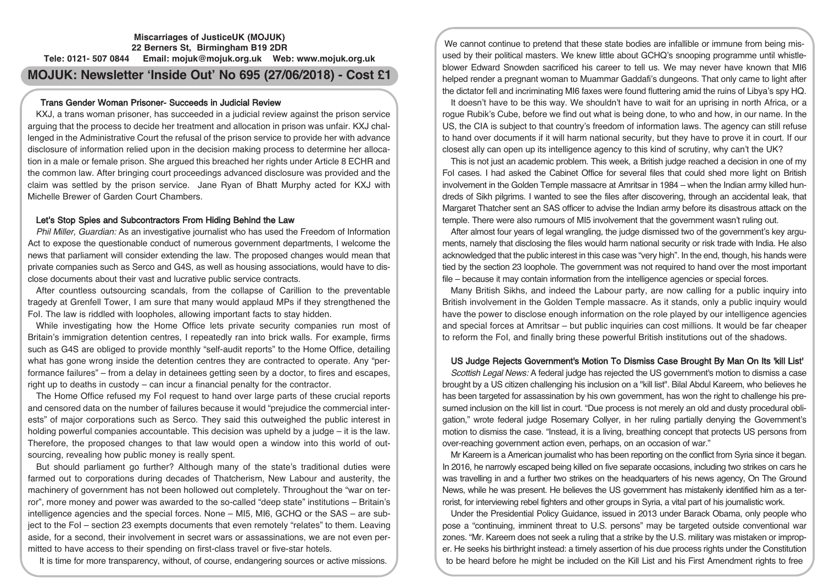# **Miscarriages of JusticeUK (MOJUK) 22 Berners St, Birmingham B19 2DR Tele: 0121- 507 0844 Email: mojuk@mojuk.org.uk Web: www.mojuk.org.uk MOJUK: Newsletter 'Inside Out' No 695 (27/06/2018) - Cost £1**

# Trans Gender Woman Prisoner- Succeeds in Judicial Review

KXJ, a trans woman prisoner, has succeeded in a judicial review against the prison service arguing that the process to decide her treatment and allocation in prison was unfair. KXJ challenged in the Administrative Court the refusal of the prison service to provide her with advance disclosure of information relied upon in the decision making process to determine her allocation in a male or female prison. She argued this breached her rights under Article 8 ECHR and the common law. After bringing court proceedings advanced disclosure was provided and the claim was settled by the prison service. Jane Ryan of Bhatt Murphy acted for KXJ with Michelle Brewer of Garden Court Chambers.

#### Let's Stop Spies and Subcontractors From Hiding Behind the Law

Phil Miller, Guardian: As an investigative journalist who has used the Freedom of Information Act to expose the questionable conduct of numerous government departments, I welcome the news that parliament will consider extending the law. The proposed changes would mean that private companies such as Serco and G4S, as well as housing associations, would have to disclose documents about their vast and lucrative public service contracts.

After countless outsourcing scandals, from the collapse of Carillion to the preventable tragedy at Grenfell Tower, I am sure that many would applaud MPs if they strengthened the FoI. The law is riddled with loopholes, allowing important facts to stay hidden.

While investigating how the Home Office lets private security companies run most of Britain's immigration detention centres, I repeatedly ran into brick walls. For example, firms such as G4S are obliged to provide monthly "self-audit reports" to the Home Office, detailing what has gone wrong inside the detention centres they are contracted to operate. Any "performance failures" – from a delay in detainees getting seen by a doctor, to fires and escapes, right up to deaths in custody – can incur a financial penalty for the contractor.

The Home Office refused my FoI request to hand over large parts of these crucial reports and censored data on the number of failures because it would "prejudice the commercial interests" of major corporations such as Serco. They said this outweighed the public interest in holding powerful companies accountable. This decision was upheld by a judge  $-$  it is the law. Therefore, the proposed changes to that law would open a window into this world of outsourcing, revealing how public money is really spent.

But should parliament go further? Although many of the state's traditional duties were farmed out to corporations during decades of Thatcherism, New Labour and austerity, the machinery of government has not been hollowed out completely. Throughout the "war on terror", more money and power was awarded to the so-called "deep state" institutions – Britain's intelligence agencies and the special forces. None – MI5, MI6, GCHQ or the SAS – are subject to the FoI – section 23 exempts documents that even remotely "relates" to them. Leaving aside, for a second, their involvement in secret wars or assassinations, we are not even permitted to have access to their spending on first-class travel or five-star hotels.

It is time for more transparency, without, of course, endangering sources or active missions.

We cannot continue to pretend that these state bodies are infallible or immune from being misused by their political masters. We knew little about GCHQ's snooping programme until whistleblower Edward Snowden sacrificed his career to tell us. We may never have known that MI6 helped render a pregnant woman to Muammar Gaddafi's dungeons. That only came to light after the dictator fell and incriminating MI6 faxes were found fluttering amid the ruins of Libya's spy HQ.

It doesn't have to be this way. We shouldn't have to wait for an uprising in north Africa, or a rogue Rubik's Cube, before we find out what is being done, to who and how, in our name. In the US, the CIA is subject to that country's freedom of information laws. The agency can still refuse to hand over documents if it will harm national security, but they have to prove it in court. If our closest ally can open up its intelligence agency to this kind of scrutiny, why can't the UK?

This is not just an academic problem. This week, a British judge reached a decision in one of my FoI cases. I had asked the Cabinet Office for several files that could shed more light on British involvement in the Golden Temple massacre at Amritsar in 1984 – when the Indian army killed hundreds of Sikh pilgrims. I wanted to see the files after discovering, through an accidental leak, that Margaret Thatcher sent an SAS officer to advise the Indian army before its disastrous attack on the temple. There were also rumours of MI5 involvement that the government wasn't ruling out.

After almost four years of legal wrangling, the judge dismissed two of the government's key arguments, namely that disclosing the files would harm national security or risk trade with India. He also acknowledged that the public interest in this case was "very high". In the end, though, his hands were tied by the section 23 loophole. The government was not required to hand over the most important file – because it may contain information from the intelligence agencies or special forces.

Many British Sikhs, and indeed the Labour party, are now calling for a public inquiry into British involvement in the Golden Temple massacre. As it stands, only a public inquiry would have the power to disclose enough information on the role played by our intelligence agencies and special forces at Amritsar – but public inquiries can cost millions. It would be far cheaper to reform the FoI, and finally bring these powerful British institutions out of the shadows.

## US Judge Rejects Government's Motion To Dismiss Case Brought By Man On Its 'kill List'

Scottish Legal News: A federal judge has rejected the US government's motion to dismiss a case brought by a US citizen challenging his inclusion on a "kill list". Bilal Abdul Kareem, who believes he has been targeted for assassination by his own government, has won the right to challenge his presumed inclusion on the kill list in court. "Due process is not merely an old and dusty procedural obligation," wrote federal judge Rosemary Collyer, in her ruling partially denying the Government's motion to dismiss the case. "Instead, it is a living, breathing concept that protects US persons from over-reaching government action even, perhaps, on an occasion of war."

Mr Kareem is a American journalist who has been reporting on the conflict from Syria since it began. In 2016, he narrowly escaped being killed on five separate occasions, including two strikes on cars he was travelling in and a further two strikes on the headquarters of his news agency, On The Ground News, while he was present. He believes the US government has mistakenly identified him as a terrorist, for interviewing rebel fighters and other groups in Syria, a vital part of his journalistic work.

Under the Presidential Policy Guidance, issued in 2013 under Barack Obama, only people who pose a "continuing, imminent threat to U.S. persons" may be targeted outside conventional war zones. "Mr. Kareem does not seek a ruling that a strike by the U.S. military was mistaken or improper. He seeks his birthright instead: a timely assertion of his due process rights under the Constitution to be heard before he might be included on the Kill List and his First Amendment rights to free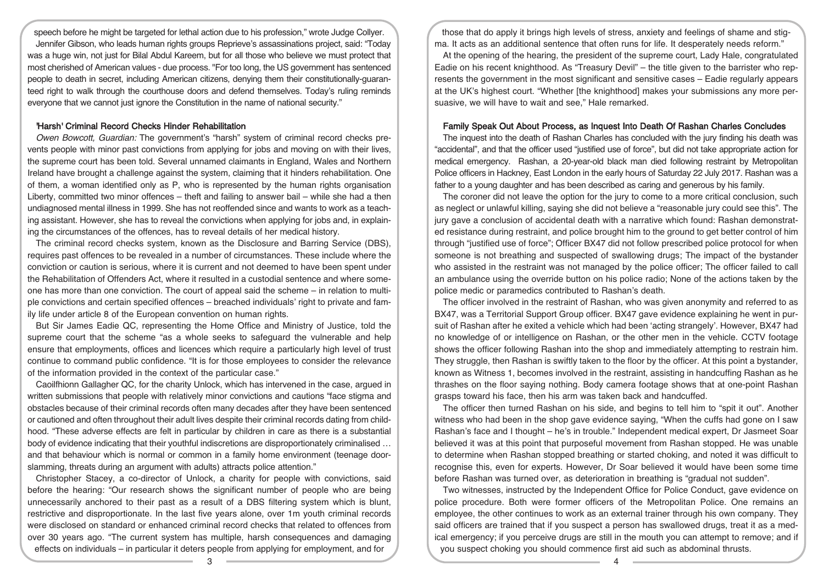speech before he might be targeted for lethal action due to his profession," wrote Judge Collyer. Jennifer Gibson, who leads human rights groups Reprieve's assassinations project, said: "Today was a huge win, not just for Bilal Abdul Kareem, but for all those who believe we must protect that most cherished of American values - due process. "For too long, the US government has sentenced people to death in secret, including American citizens, denying them their constitutionally-guaranteed right to walk through the courthouse doors and defend themselves. Today's ruling reminds everyone that we cannot just ignore the Constitution in the name of national security."

## 'Harsh' Criminal Record Checks Hinder Rehabilitation

Owen Bowcott, Guardian: The government's "harsh" system of criminal record checks prevents people with minor past convictions from applying for jobs and moving on with their lives, the supreme court has been told. Several unnamed claimants in England, Wales and Northern Ireland have brought a challenge against the system, claiming that it hinders rehabilitation. One of them, a woman identified only as P, who is represented by the human rights organisation Liberty, committed two minor offences – theft and failing to answer bail – while she had a then undiagnosed mental illness in 1999. She has not reoffended since and wants to work as a teaching assistant. However, she has to reveal the convictions when applying for jobs and, in explaining the circumstances of the offences, has to reveal details of her medical history.

The criminal record checks system, known as the Disclosure and Barring Service (DBS), requires past offences to be revealed in a number of circumstances. These include where the conviction or caution is serious, where it is current and not deemed to have been spent under the Rehabilitation of Offenders Act, where it resulted in a custodial sentence and where someone has more than one conviction. The court of appeal said the scheme – in relation to multiple convictions and certain specified offences – breached individuals' right to private and family life under article 8 of the European convention on human rights.

But Sir James Eadie QC, representing the Home Office and Ministry of Justice, told the supreme court that the scheme "as a whole seeks to safeguard the vulnerable and help ensure that employments, offices and licences which require a particularly high level of trust continue to command public confidence. "It is for those employees to consider the relevance of the information provided in the context of the particular case."

Caoilfhionn Gallagher QC, for the charity Unlock, which has intervened in the case, argued in written submissions that people with relatively minor convictions and cautions "face stigma and obstacles because of their criminal records often many decades after they have been sentenced or cautioned and often throughout their adult lives despite their criminal records dating from childhood. "These adverse effects are felt in particular by children in care as there is a substantial body of evidence indicating that their youthful indiscretions are disproportionately criminalised ... and that behaviour which is normal or common in a family home environment (teenage doorslamming, threats during an argument with adults) attracts police attention."

Christopher Stacey, a co-director of Unlock, a charity for people with convictions, said before the hearing: "Our research shows the significant number of people who are being unnecessarily anchored to their past as a result of a DBS filtering system which is blunt, restrictive and disproportionate. In the last five years alone, over 1m youth criminal records were disclosed on standard or enhanced criminal record checks that related to offences from over 30 years ago. "The current system has multiple, harsh consequences and damaging effects on individuals – in particular it deters people from applying for employment, and for

those that do apply it brings high levels of stress, anxiety and feelings of shame and stigma. It acts as an additional sentence that often runs for life. It desperately needs reform."

At the opening of the hearing, the president of the supreme court, Lady Hale, congratulated Eadie on his recent knighthood. As "Treasury Devil" – the title given to the barrister who represents the government in the most significant and sensitive cases – Eadie regularly appears at the UK's highest court. "Whether [the knighthood] makes your submissions any more persuasive, we will have to wait and see," Hale remarked.

#### Family Speak Out About Process, as Inquest Into Death Of Rashan Charles Concludes

The inquest into the death of Rashan Charles has concluded with the jury finding his death was "accidental", and that the officer used "justified use of force", but did not take appropriate action for medical emergency. Rashan, a 20-year-old black man died following restraint by Metropolitan Police officers in Hackney, East London in the early hours of Saturday 22 July 2017. Rashan was a father to a young daughter and has been described as caring and generous by his family.

The coroner did not leave the option for the jury to come to a more critical conclusion, such as neglect or unlawful killing, saying she did not believe a "reasonable jury could see this". The jury gave a conclusion of accidental death with a narrative which found: Rashan demonstrated resistance during restraint, and police brought him to the ground to get better control of him through "justified use of force"; Officer BX47 did not follow prescribed police protocol for when someone is not breathing and suspected of swallowing drugs; The impact of the bystander who assisted in the restraint was not managed by the police officer; The officer failed to call an ambulance using the override button on his police radio; None of the actions taken by the police medic or paramedics contributed to Rashan's death.

The officer involved in the restraint of Rashan, who was given anonymity and referred to as BX47, was a Territorial Support Group officer. BX47 gave evidence explaining he went in pursuit of Rashan after he exited a vehicle which had been 'acting strangely'. However, BX47 had no knowledge of or intelligence on Rashan, or the other men in the vehicle. CCTV footage shows the officer following Rashan into the shop and immediately attempting to restrain him. They struggle, then Rashan is swiftly taken to the floor by the officer. At this point a bystander, known as Witness 1, becomes involved in the restraint, assisting in handcuffing Rashan as he thrashes on the floor saying nothing. Body camera footage shows that at one-point Rashan grasps toward his face, then his arm was taken back and handcuffed.

The officer then turned Rashan on his side, and begins to tell him to "spit it out". Another witness who had been in the shop gave evidence saying, "When the cuffs had gone on I saw Rashan's face and I thought – he's in trouble." Independent medical expert, Dr Jasmeet Soar believed it was at this point that purposeful movement from Rashan stopped. He was unable to determine when Rashan stopped breathing or started choking, and noted it was difficult to recognise this, even for experts. However, Dr Soar believed it would have been some time before Rashan was turned over, as deterioration in breathing is "gradual not sudden".

Two witnesses, instructed by the Independent Office for Police Conduct, gave evidence on police procedure. Both were former officers of the Metropolitan Police. One remains an employee, the other continues to work as an external trainer through his own company. They said officers are trained that if you suspect a person has swallowed drugs, treat it as a medical emergency; if you perceive drugs are still in the mouth you can attempt to remove; and if you suspect choking you should commence first aid such as abdominal thrusts.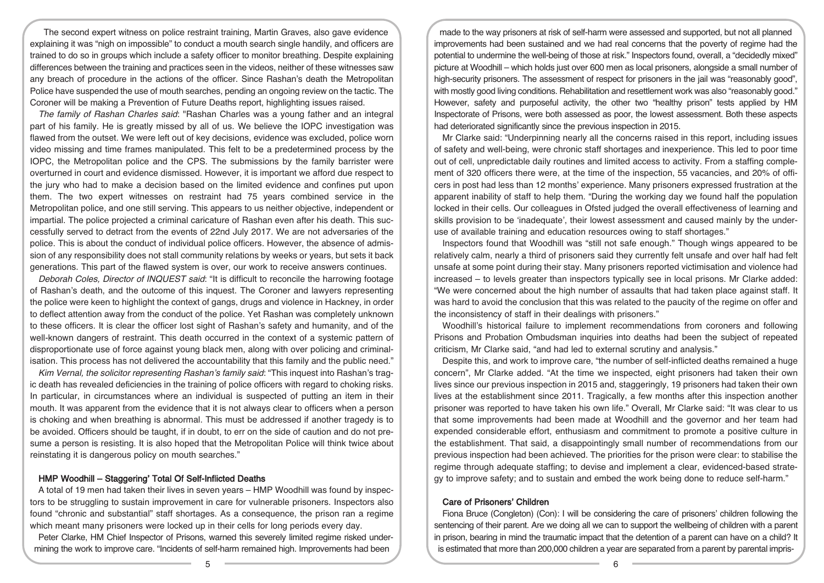The second expert witness on police restraint training, Martin Graves, also gave evidence explaining it was "nigh on impossible" to conduct a mouth search single handily, and officers are trained to do so in groups which include a safety officer to monitor breathing. Despite explaining differences between the training and practices seen in the videos, neither of these witnesses saw any breach of procedure in the actions of the officer. Since Rashan's death the Metropolitan Police have suspended the use of mouth searches, pending an ongoing review on the tactic. The Coroner will be making a Prevention of Future Deaths report, highlighting issues raised.

The family of Rashan Charles said: "Rashan Charles was a young father and an integral part of his family. He is greatly missed by all of us. We believe the IOPC investigation was flawed from the outset. We were left out of key decisions, evidence was excluded, police worn video missing and time frames manipulated. This felt to be a predetermined process by the IOPC, the Metropolitan police and the CPS. The submissions by the family barrister were overturned in court and evidence dismissed. However, it is important we afford due respect to the jury who had to make a decision based on the limited evidence and confines put upon them. The two expert witnesses on restraint had 75 years combined service in the Metropolitan police, and one still serving. This appears to us neither objective, independent or impartial. The police projected a criminal caricature of Rashan even after his death. This successfully served to detract from the events of 22nd July 2017. We are not adversaries of the police. This is about the conduct of individual police officers. However, the absence of admission of any responsibility does not stall community relations by weeks or years, but sets it back generations. This part of the flawed system is over, our work to receive answers continues.

Deborah Coles, Director of INQUEST said: "It is difficult to reconcile the harrowing footage of Rashan's death, and the outcome of this inquest. The Coroner and lawyers representing the police were keen to highlight the context of gangs, drugs and violence in Hackney, in order to deflect attention away from the conduct of the police. Yet Rashan was completely unknown to these officers. It is clear the officer lost sight of Rashan's safety and humanity, and of the well-known dangers of restraint. This death occurred in the context of a systemic pattern of disproportionate use of force against young black men, along with over policing and criminalisation. This process has not delivered the accountability that this family and the public need."

Kim Vernal, the solicitor representing Rashan's family said: "This inquest into Rashan's tragic death has revealed deficiencies in the training of police officers with regard to choking risks. In particular, in circumstances where an individual is suspected of putting an item in their mouth. It was apparent from the evidence that it is not always clear to officers when a person is choking and when breathing is abnormal. This must be addressed if another tragedy is to be avoided. Officers should be taught, if in doubt, to err on the side of caution and do not presume a person is resisting. It is also hoped that the Metropolitan Police will think twice about reinstating it is dangerous policy on mouth searches."

#### HMP Woodhill – Staggering' Total Of Self-Inflicted Deaths

A total of 19 men had taken their lives in seven years – HMP Woodhill was found by inspectors to be struggling to sustain improvement in care for vulnerable prisoners. Inspectors also found "chronic and substantial" staff shortages. As a consequence, the prison ran a regime which meant many prisoners were locked up in their cells for long periods every day.

Peter Clarke, HM Chief Inspector of Prisons, warned this severely limited regime risked undermining the work to improve care. "Incidents of self-harm remained high. Improvements had been

made to the way prisoners at risk of self-harm were assessed and supported, but not all planned improvements had been sustained and we had real concerns that the poverty of regime had the potential to undermine the well-being of those at risk." Inspectors found, overall, a "decidedly mixed" picture at Woodhill – which holds just over 600 men as local prisoners, alongside a small number of high-security prisoners. The assessment of respect for prisoners in the jail was "reasonably good", with mostly good living conditions. Rehabilitation and resettlement work was also "reasonably good." However, safety and purposeful activity, the other two "healthy prison" tests applied by HM Inspectorate of Prisons, were both assessed as poor, the lowest assessment. Both these aspects had deteriorated significantly since the previous inspection in 2015.

Mr Clarke said: "Underpinning nearly all the concerns raised in this report, including issues of safety and well-being, were chronic staff shortages and inexperience. This led to poor time out of cell, unpredictable daily routines and limited access to activity. From a staffing complement of 320 officers there were, at the time of the inspection, 55 vacancies, and 20% of officers in post had less than 12 months' experience. Many prisoners expressed frustration at the apparent inability of staff to help them. "During the working day we found half the population locked in their cells. Our colleagues in Ofsted judged the overall effectiveness of learning and skills provision to be 'inadequate', their lowest assessment and caused mainly by the underuse of available training and education resources owing to staff shortages."

Inspectors found that Woodhill was "still not safe enough." Though wings appeared to be relatively calm, nearly a third of prisoners said they currently felt unsafe and over half had felt unsafe at some point during their stay. Many prisoners reported victimisation and violence had increased – to levels greater than inspectors typically see in local prisons. Mr Clarke added: "We were concerned about the high number of assaults that had taken place against staff. It was hard to avoid the conclusion that this was related to the paucity of the regime on offer and the inconsistency of staff in their dealings with prisoners."

Woodhill's historical failure to implement recommendations from coroners and following Prisons and Probation Ombudsman inquiries into deaths had been the subject of repeated criticism, Mr Clarke said, "and had led to external scrutiny and analysis."

Despite this, and work to improve care, "the number of self-inflicted deaths remained a huge concern", Mr Clarke added. "At the time we inspected, eight prisoners had taken their own lives since our previous inspection in 2015 and, staggeringly, 19 prisoners had taken their own lives at the establishment since 2011. Tragically, a few months after this inspection another prisoner was reported to have taken his own life." Overall, Mr Clarke said: "It was clear to us that some improvements had been made at Woodhill and the governor and her team had expended considerable effort, enthusiasm and commitment to promote a positive culture in the establishment. That said, a disappointingly small number of recommendations from our previous inspection had been achieved. The priorities for the prison were clear: to stabilise the regime through adequate staffing; to devise and implement a clear, evidenced-based strategy to improve safety; and to sustain and embed the work being done to reduce self-harm."

## Care of Prisoners' Children

Fiona Bruce (Congleton) (Con): I will be considering the care of prisoners' children following the sentencing of their parent. Are we doing all we can to support the wellbeing of children with a parent in prison, bearing in mind the traumatic impact that the detention of a parent can have on a child? It is estimated that more than 200,000 children a year are separated from a parent by parental impris-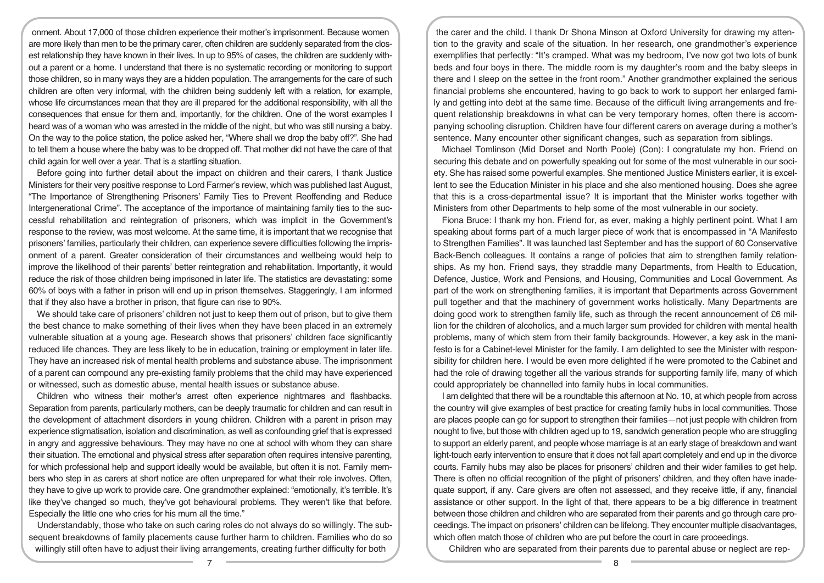onment. About 17,000 of those children experience their mother's imprisonment. Because women are more likely than men to be the primary carer, often children are suddenly separated from the closest relationship they have known in their lives. In up to 95% of cases, the children are suddenly without a parent or a home. I understand that there is no systematic recording or monitoring to support those children, so in many ways they are a hidden population. The arrangements for the care of such children are often very informal, with the children being suddenly left with a relation, for example, whose life circumstances mean that they are ill prepared for the additional responsibility, with all the consequences that ensue for them and, importantly, for the children. One of the worst examples I heard was of a woman who was arrested in the middle of the night, but who was still nursing a baby. On the way to the police station, the police asked her, "Where shall we drop the baby off?". She had to tell them a house where the baby was to be dropped off. That mother did not have the care of that child again for well over a year. That is a startling situation.

Before going into further detail about the impact on children and their carers, I thank Justice Ministers for their very positive response to Lord Farmer's review, which was published last August, "The Importance of Strengthening Prisoners' Family Ties to Prevent Reoffending and Reduce Intergenerational Crime". The acceptance of the importance of maintaining family ties to the successful rehabilitation and reintegration of prisoners, which was implicit in the Government's response to the review, was most welcome. At the same time, it is important that we recognise that prisoners' families, particularly their children, can experience severe difficulties following the imprisonment of a parent. Greater consideration of their circumstances and wellbeing would help to improve the likelihood of their parents' better reintegration and rehabilitation. Importantly, it would reduce the risk of those children being imprisoned in later life. The statistics are devastating: some 60% of boys with a father in prison will end up in prison themselves. Staggeringly, I am informed that if they also have a brother in prison, that figure can rise to 90%.

We should take care of prisoners' children not just to keep them out of prison, but to give them the best chance to make something of their lives when they have been placed in an extremely vulnerable situation at a young age. Research shows that prisoners' children face significantly reduced life chances. They are less likely to be in education, training or employment in later life. They have an increased risk of mental health problems and substance abuse. The imprisonment of a parent can compound any pre-existing family problems that the child may have experienced or witnessed, such as domestic abuse, mental health issues or substance abuse.

Children who witness their mother's arrest often experience nightmares and flashbacks. Separation from parents, particularly mothers, can be deeply traumatic for children and can result in the development of attachment disorders in young children. Children with a parent in prison may experience stigmatisation, isolation and discrimination, as well as confounding grief that is expressed in angry and aggressive behaviours. They may have no one at school with whom they can share their situation. The emotional and physical stress after separation often requires intensive parenting, for which professional help and support ideally would be available, but often it is not. Family members who step in as carers at short notice are often unprepared for what their role involves. Often, they have to give up work to provide care. One grandmother explained: "emotionally, it's terrible. It's like they've changed so much, they've got behavioural problems. They weren't like that before. Especially the little one who cries for his mum all the time."

Understandably, those who take on such caring roles do not always do so willingly. The subsequent breakdowns of family placements cause further harm to children. Families who do so willingly still often have to adjust their living arrangements, creating further difficulty for both

the carer and the child. I thank Dr Shona Minson at Oxford University for drawing my attention to the gravity and scale of the situation. In her research, one grandmother's experience exemplifies that perfectly: "It's cramped. What was my bedroom, I've now got two lots of bunk beds and four boys in there. The middle room is my daughter's room and the baby sleeps in there and I sleep on the settee in the front room." Another grandmother explained the serious financial problems she encountered, having to go back to work to support her enlarged family and getting into debt at the same time. Because of the difficult living arrangements and frequent relationship breakdowns in what can be very temporary homes, often there is accompanying schooling disruption. Children have four different carers on average during a mother's sentence. Many encounter other significant changes, such as separation from siblings.

Michael Tomlinson (Mid Dorset and North Poole) (Con): I congratulate my hon. Friend on securing this debate and on powerfully speaking out for some of the most vulnerable in our society. She has raised some powerful examples. She mentioned Justice Ministers earlier, it is excellent to see the Education Minister in his place and she also mentioned housing. Does she agree that this is a cross-departmental issue? It is important that the Minister works together with Ministers from other Departments to help some of the most vulnerable in our society.

Fiona Bruce: I thank my hon. Friend for, as ever, making a highly pertinent point. What I am speaking about forms part of a much larger piece of work that is encompassed in "A Manifesto to Strengthen Families". It was launched last September and has the support of 60 Conservative Back-Bench colleagues. It contains a range of policies that aim to strengthen family relationships. As my hon. Friend says, they straddle many Departments, from Health to Education, Defence, Justice, Work and Pensions, and Housing, Communities and Local Government. As part of the work on strengthening families, it is important that Departments across Government pull together and that the machinery of government works holistically. Many Departments are doing good work to strengthen family life, such as through the recent announcement of £6 million for the children of alcoholics, and a much larger sum provided for children with mental health problems, many of which stem from their family backgrounds. However, a key ask in the manifesto is for a Cabinet-level Minister for the family. I am delighted to see the Minister with responsibility for children here. I would be even more delighted if he were promoted to the Cabinet and had the role of drawing together all the various strands for supporting family life, many of which could appropriately be channelled into family hubs in local communities.

I am delighted that there will be a roundtable this afternoon at No. 10, at which people from across the country will give examples of best practice for creating family hubs in local communities. Those are places people can go for support to strengthen their families—not just people with children from nought to five, but those with children aged up to 19, sandwich generation people who are struggling to support an elderly parent, and people whose marriage is at an early stage of breakdown and want light-touch early intervention to ensure that it does not fall apart completely and end up in the divorce courts. Family hubs may also be places for prisoners' children and their wider families to get help. There is often no official recognition of the plight of prisoners' children, and they often have inadequate support, if any. Care givers are often not assessed, and they receive little, if any, financial assistance or other support. In the light of that, there appears to be a big difference in treatment between those children and children who are separated from their parents and go through care proceedings. The impact on prisoners' children can be lifelong. They encounter multiple disadvantages, which often match those of children who are put before the court in care proceedings.

Children who are separated from their parents due to parental abuse or neglect are rep-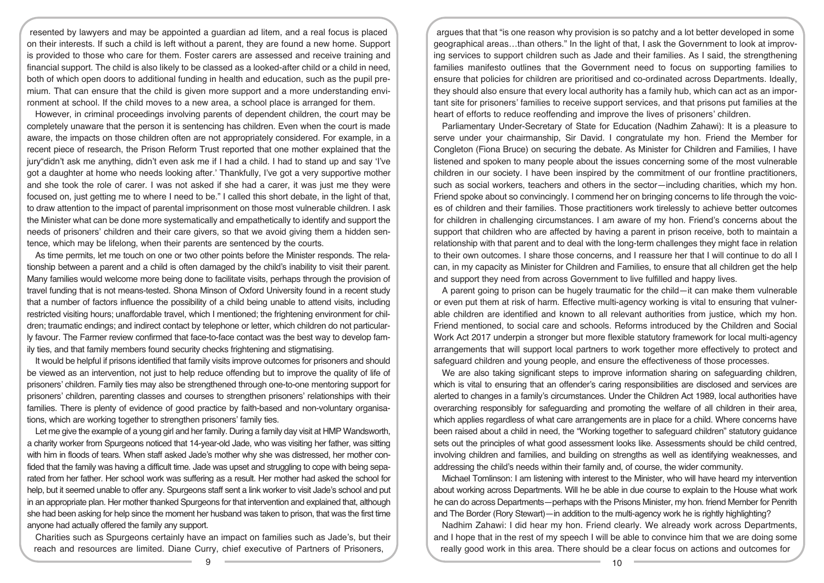resented by lawyers and may be appointed a guardian ad litem, and a real focus is placed on their interests. If such a child is left without a parent, they are found a new home. Support is provided to those who care for them. Foster carers are assessed and receive training and financial support. The child is also likely to be classed as a looked-after child or a child in need, both of which open doors to additional funding in health and education, such as the pupil premium. That can ensure that the child is given more support and a more understanding environment at school. If the child moves to a new area, a school place is arranged for them.

However, in criminal proceedings involving parents of dependent children, the court may be completely unaware that the person it is sentencing has children. Even when the court is made aware, the impacts on those children often are not appropriately considered. For example, in a recent piece of research, the Prison Reform Trust reported that one mother explained that the jury"didn't ask me anything, didn't even ask me if I had a child. I had to stand up and say 'I've got a daughter at home who needs looking after.' Thankfully, I've got a very supportive mother and she took the role of carer. I was not asked if she had a carer, it was just me they were focused on, just getting me to where I need to be." I called this short debate, in the light of that, to draw attention to the impact of parental imprisonment on those most vulnerable children. I ask the Minister what can be done more systematically and empathetically to identify and support the needs of prisoners' children and their care givers, so that we avoid giving them a hidden sentence, which may be lifelong, when their parents are sentenced by the courts.

As time permits, let me touch on one or two other points before the Minister responds. The relationship between a parent and a child is often damaged by the child's inability to visit their parent. Many families would welcome more being done to facilitate visits, perhaps through the provision of travel funding that is not means-tested. Shona Minson of Oxford University found in a recent study that a number of factors influence the possibility of a child being unable to attend visits, including restricted visiting hours; unaffordable travel, which I mentioned; the frightening environment for children; traumatic endings; and indirect contact by telephone or letter, which children do not particularly favour. The Farmer review confirmed that face-to-face contact was the best way to develop family ties, and that family members found security checks frightening and stigmatising.

It would be helpful if prisons identified that family visits improve outcomes for prisoners and should be viewed as an intervention, not just to help reduce offending but to improve the quality of life of prisoners' children. Family ties may also be strengthened through one-to-one mentoring support for prisoners' children, parenting classes and courses to strengthen prisoners' relationships with their families. There is plenty of evidence of good practice by faith-based and non-voluntary organisations, which are working together to strengthen prisoners' family ties.

Let me give the example of a young girl and her family. During a family day visit at HMP Wandsworth, a charity worker from Spurgeons noticed that 14-year-old Jade, who was visiting her father, was sitting with him in floods of tears. When staff asked Jade's mother why she was distressed, her mother confided that the family was having a difficult time. Jade was upset and struggling to cope with being separated from her father. Her school work was suffering as a result. Her mother had asked the school for help, but it seemed unable to offer any. Spurgeons staff sent a link worker to visit Jade's school and put in an appropriate plan. Her mother thanked Spurgeons for that intervention and explained that, although she had been asking for help since the moment her husband was taken to prison, that was the first time anyone had actually offered the family any support.

Charities such as Spurgeons certainly have an impact on families such as Jade's, but their reach and resources are limited. Diane Curry, chief executive of Partners of Prisoners,

argues that that "is one reason why provision is so patchy and a lot better developed in some geographical areas…than others." In the light of that, I ask the Government to look at improving services to support children such as Jade and their families. As I said, the strengthening families manifesto outlines that the Government need to focus on supporting families to ensure that policies for children are prioritised and co-ordinated across Departments. Ideally, they should also ensure that every local authority has a family hub, which can act as an important site for prisoners' families to receive support services, and that prisons put families at the heart of efforts to reduce reoffending and improve the lives of prisoners' children.

Parliamentary Under-Secretary of State for Education (Nadhim Zahawi): It is a pleasure to serve under your chairmanship, Sir David. I congratulate my hon. Friend the Member for Congleton (Fiona Bruce) on securing the debate. As Minister for Children and Families, I have listened and spoken to many people about the issues concerning some of the most vulnerable children in our society. I have been inspired by the commitment of our frontline practitioners, such as social workers, teachers and others in the sector—including charities, which my hon. Friend spoke about so convincingly. I commend her on bringing concerns to life through the voices of children and their families. Those practitioners work tirelessly to achieve better outcomes for children in challenging circumstances. I am aware of my hon. Friend's concerns about the support that children who are affected by having a parent in prison receive, both to maintain a relationship with that parent and to deal with the long-term challenges they might face in relation to their own outcomes. I share those concerns, and I reassure her that I will continue to do all I can, in my capacity as Minister for Children and Families, to ensure that all children get the help and support they need from across Government to live fulfilled and happy lives.

A parent going to prison can be hugely traumatic for the child—it can make them vulnerable or even put them at risk of harm. Effective multi-agency working is vital to ensuring that vulnerable children are identified and known to all relevant authorities from justice, which my hon. Friend mentioned, to social care and schools. Reforms introduced by the Children and Social Work Act 2017 underpin a stronger but more flexible statutory framework for local multi-agency arrangements that will support local partners to work together more effectively to protect and safeguard children and young people, and ensure the effectiveness of those processes.

We are also taking significant steps to improve information sharing on safeguarding children, which is vital to ensuring that an offender's caring responsibilities are disclosed and services are alerted to changes in a family's circumstances. Under the Children Act 1989, local authorities have overarching responsibly for safeguarding and promoting the welfare of all children in their area, which applies regardless of what care arrangements are in place for a child. Where concerns have been raised about a child in need, the "Working together to safeguard children" statutory guidance sets out the principles of what good assessment looks like. Assessments should be child centred, involving children and families, and building on strengths as well as identifying weaknesses, and addressing the child's needs within their family and, of course, the wider community.

Michael Tomlinson: I am listening with interest to the Minister, who will have heard my intervention about working across Departments. Will he be able in due course to explain to the House what work he can do across Departments—perhaps with the Prisons Minister, my hon. friend Member for Penrith and The Border (Rory Stewart)—in addition to the multi-agency work he is rightly highlighting?

Nadhim Zahawi: I did hear my hon. Friend clearly. We already work across Departments, and I hope that in the rest of my speech I will be able to convince him that we are doing some really good work in this area. There should be a clear focus on actions and outcomes for